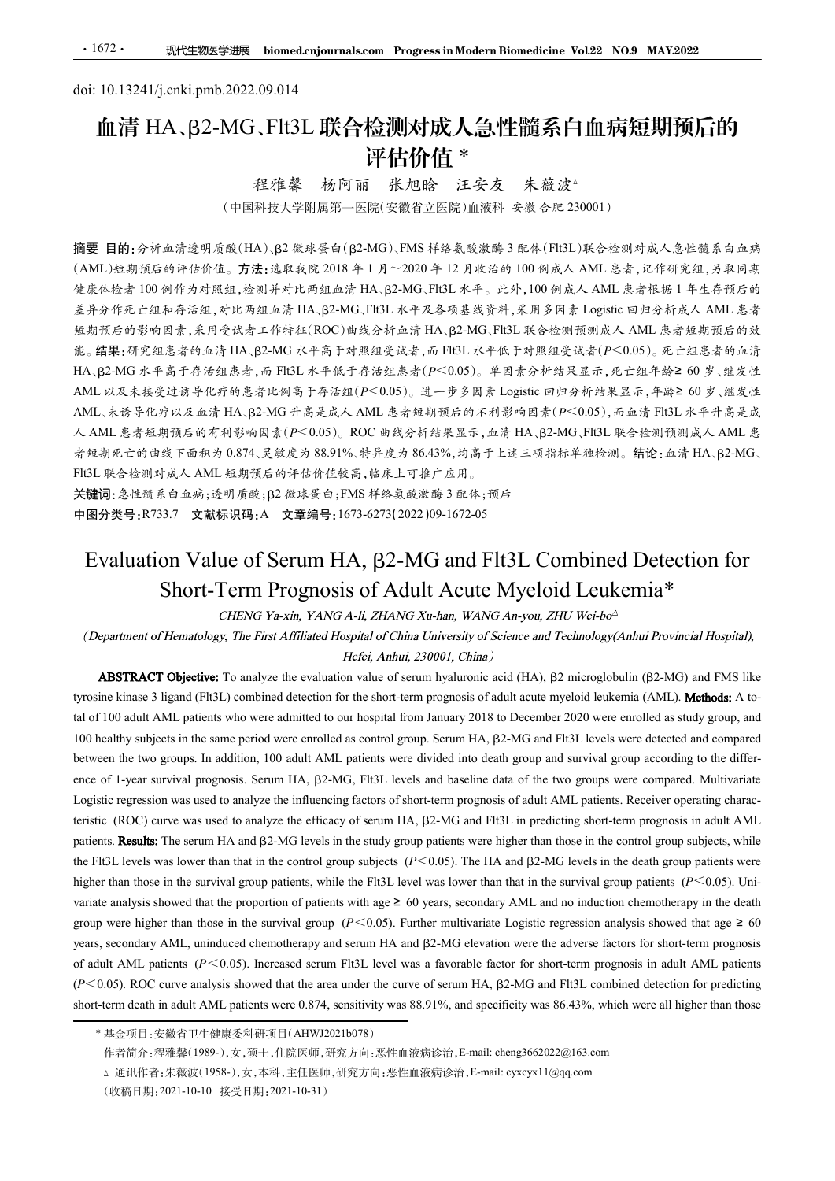# <u>·1672· 现代生物医学进展 biomed.cnjournals.com Progress.in Modern Biomedicin</u><br>doi: 10.13241/j.cnki.pmb.2022.09.014<br> **血清 HA、β2-MG、Flt3L 联合检测对成人急性髓系**<br>
评估价值 \*<br>
<del>超磁整体原则能加险</del> 血清 HA、β2-MG、Flt3L 联合检测对成人急性髓系白血病短期预后的 评估价值 \* 程雅馨 杨阿丽 张旭晗 汪安友 朱薇波△

程雅馨 杨阿丽 张旭晗 汪安友 朱薇波。<br>(中国科技大学附属第一医院(安徽省立医院)血液科 安徽 合肥 230001)

摘要 目的:分析血清透明质酸(HA)、β2 微球蛋白(β2-MG)、FMS 样络氨酸激酶 3 配体(Flt3L)联合检测对成人急性髓系白血病  $(AML)$ 短期预后的评估价值。方法:选取我院 2018年1月~2020年12月收治的 100 例成人 AML 患者,记作研究组,另取同期 健康体检者 100 例作为对照组,检测并对比两组血清 HA、β2-MG、Flt3L 水平。此外,100 例成人 AML 患者根据 1 年生存预后的 差异分作死亡组和存活组,对比两组血清 HA、B2-MG、Flt3L 水平及各项基线资料,采用多因素 Logistic 回归分析成人 AML 患者 短期预后的影响因素,采用受试者工作特征(ROC)曲线分析血清 HA、B2-MG、Flt3L 联合检测预测成人 AML 患者短期预后的效 能。结果:研究组患者的血清 HA、B2-MG 水平高于对照组受试者,而 Flt3L 水平低于对照组受试者( $P$ <0.05)。死亡组患者的血清 HA、B2-MG 水平高于存活组患者,而 Flt3L 水平低于存活组患者( $P$ <0.05)。单因素分析结果显示,死亡组年龄≥ 60 岁、继发性 AML 以及未接受过诱导化疗的患者比例高于存活组(P<0.05)。进一步多因素 Logistic 回归分析结果显示,年龄≥ 60 岁、继发性 AML、未诱导化疗以及血清 HA、B2-MG 升高是成人 AML 患者短期预后的不利影响因素( $P$ <0.05), 而血清 Flt3L 水平升高是成 人 AML 患者短期预后的有利影响因素( $P$ <0.05)。ROC 曲线分析结果显示,血清 HA、β2-MG、Flt3L 联合检测预测成人 AML 患 者短期死亡的曲线下面积为 0.874、灵敏度为 88.91%、特异度为 86.43%,均高于上述三项指标单独检测。结论:血清 HA、β2-MG、 Flt3L 联合检测对成人 AML 短期预后的评估价值较高,临床上可推广应用。 **Evaluation Value of Serum HA, β2-MG and Flt3L Combined Detection for Short-Term Prognosis of Adulf Acute Myeloid Leukemia\***<br>
Chaptament of Berkeling The First Affinited International HA, 単位<br> **AM, Property And First And** 在清後明層線には、B2 線球署自(B2-MG), FMS 样格象線線線 5 社外(FIGI.)联合校内列生化、大会社制度、公開 5 法<br>5 的评估价值。方法:造取成院 2018 年 1 月~2020 年 12 月完治的 100 例成人 AML 患者, 把体所創入多取同期<br>例件价格は、在期外外比两组在消 HA、B2-MG FIEL 水平、此外, 100 例成人 AML 患者, 把体对, 组. 人工<br>4 个方方通知, 在进中外比两组在消 H 9.2 min (1.1 m) and the evaluation value of serum hyalonic value of serue of serue of serue of serue of serue of serue of serue of serue of serue of serue of serue of serue of serue of serue of serue of serue of serue of the Research of the Short-Term Programs of a ligand (Flutscock) for the short-term progression for the short-term of the short-term progression of the short-term progression of the short-term progression of the short-ter

关键词:急性髓系白血病;透明质酸;β2 微球蛋白;FMS 样络氨酸激酶 3 配体;预后

中图分类号:R733.7 文献标识码:A 文章编号:1673-6273(2022)09-1672-05

**80. The 100 adult AC advises who were reached as control group. Server MC patients who were detected and compare to the SLAR patient who were admitted to our hospital from January 2018 to AML patients the AML patients w** IF. The same period of the same period of the same period of the same period were enrolled as controlled as controlled as controlled as controlled as the same period were enrolled as the same period of the same period we ANDIL A. 香港生生分から10分から10分の19月17年まんで、2002年まんで、2008年以上、2008年以上、2008年以上、2008年以上、2008年以上、2008年以上、2008年以上、2008年以上、2008年以上、2008年以上、2008年以上、2008年以上、2008年以上、2008年以上、2008年以上、2008年以上、2008年以上、2008年以上、2008年以上、2008年以上、2008年以上、2008年以上、 Assumed to a matrix of the interest of the interest of the interest regression was used to analyze the efficies of starting factors were the influencing factors of the influence of the interest and the interest of the in the ROC) course was used to analyze the influence of serum HA, B2-MG and FIt3L in prediction for Serum HA, B2-MG and FIt3L Combined Detection for Serum HA, B2-MG and FIt3L Combined Detection for Short-Term Prognosis of Ad **Patients. The server of the serum HA and Exerum HA and Exerum HA and Exerum Substitute in the study and FIFAL Combined Detection for Specifics. The First Affiliated Fig. 1467-47312022109-1672-05<br>
<b>EValuation Value of Se Evaluation Value of Serum HA,**  $\beta$ **2-MG and FIt3L Combined Detection for Short-Frem Prognoss of Adult Acute Myeloid Leukemia\*<br>
Flug3. A strategy and Serum HA,**  $\beta$ **2-MG and FIt3L Combined Detection for Short-Frem Prognoss Evaluation Value of Serum HA,**  $\beta$ **2-MG and FIt3L Combined Detection for<br>
Short-Term Prognossis of Adult Acute Myeloid Leukemia\*<br>
(Department of Hennichopy, the First Affilms of the acute Myeloid Leukemia\*<br>
(Department of** EVAILUATION VAILLE OF SEPURP HA, B2-WIG and FITSL Combined Defection for<br>
Short-Term Prognos of Adult Acute Myeloid Leukemia\*<br>
(Department of Hematology, The First Affiliated Hospital of China RMC As-18 were an Technolog Short-Term Prognosis of Adult Acute Mycloid Leukemia\*<br>
CHENG Yaxin, YANG A-li, ZHANG Xir-ban, WANG An-yau, ZHU Web-bs'<br>
(Department of Hemotology, The First Affiliated Hospital of China University Of Science and Technolog *CHENG Ya-xin, YANG A-li, ZHANG Xu-han, WANG A-you, ZHU Worko<sup>2</sup><br>
(Department of Hematology, The First Affiliated Hespital of China University of Science and Technology(Anbui Provincial Hespital).<br> ABSTRACT Objective, T* (Department of Hematology, The First Affiliated Hosphral of China Varies of Schines and Technology(Anthi Provincial Hospital),<br>
Here: Anthu, 230001, China<br>
Here: Anthu, 230001, China<br>
Here: Anthu, 230001, China<br>
Here: Ant **ABSTRACT Objective:** To analyze the evaluation value of seman hyalutomic and  $(HA), \beta$  an incorporability ( $\beta$ -MC) and FMS like<br>proxime kinase 3 lagard (FH3L) combined detection for the short-term prognoss is a all Hault is kinase 3 ligand (Fit3L) combined detection for the short-term prognosis of adult acute mycloid lettkemia (AML). **Methods:** A to-100 adult AML patients who were adultribut on theory and is a consention for the short-t 100 adult AML patients who were admitted to our hospital from Jamary 2018 to December 2020 were emolied as study group, and<br>enlty subjects in the same period were enrolled as control group. Serum HA, β2-MG and HSL level

<sup>(</sup>收稿日期:2021-10-10 接受日期:2021-10-31)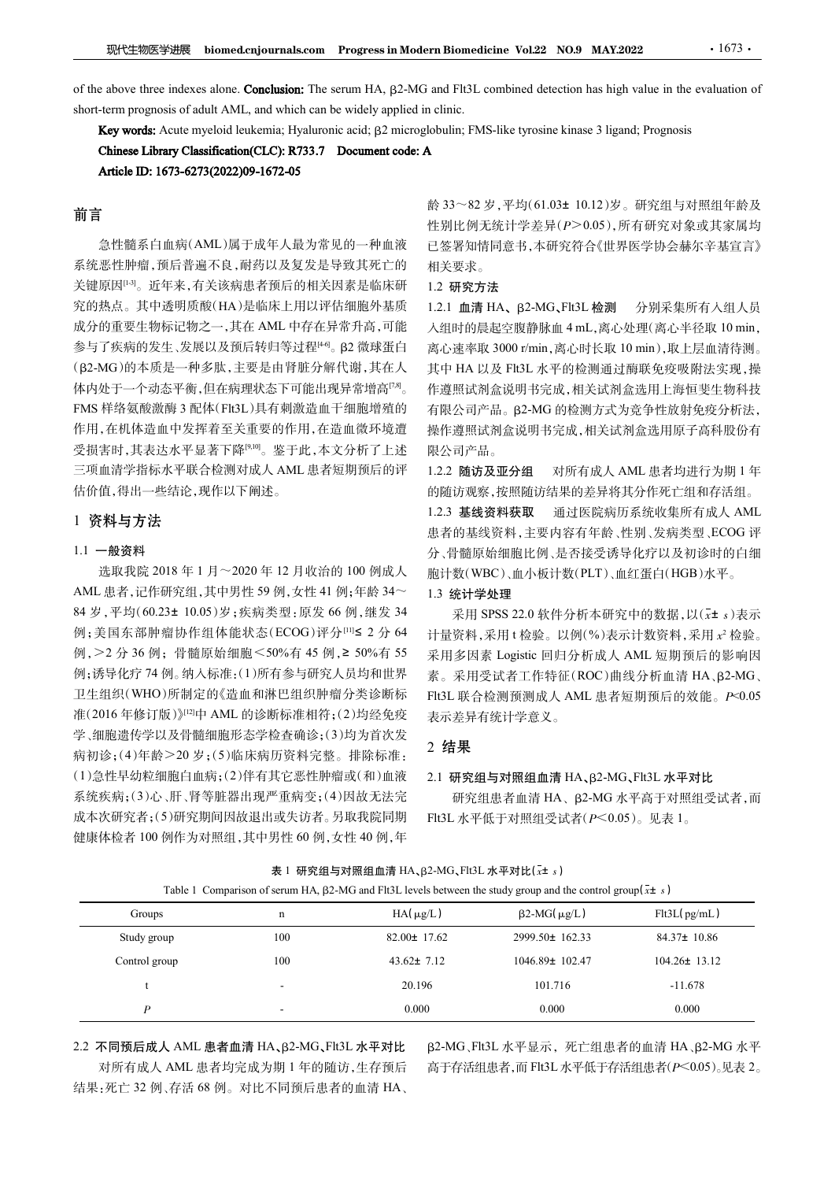FA性型化学进展 biomed.cnjournals.com Progress in Modern Biomedicine Vol.22 NO.9 MAY.2022 · 1673 · 1673 · 1673 · 1673 · 1673 · 1673 · 1673 · 1693 · 1693 · 1693 · 1693 · 1693 · 1693 · 1693 · 1693 · 1693 · 1698 · 1698 · 1698 · 1  $\frac{1}{2}$ <br>sof the above three indexes alone. Conclusion: The serum HA,  $\beta$ 2-MG and Flt3L combined detection has high value in the evaluation of short-term prognosis of adult AML, and which can be widely applied in clinic  $\begin{aligned}\n\text{pmod} \text{cm} & \text{h} = \text{h} \cdot \text{h} \cdot \text{h} \cdot \text{h} \cdot \text{h} \cdot \text{h} \cdot \text{h} \cdot \text{h} \cdot \text{h} \cdot \text{h} \cdot \text{h} \cdot \text{h} \cdot \text{h} \cdot \text{h} \cdot \text{h} \cdot \text{h} \cdot \text{h} \cdot \text{h} \cdot \text{h} \cdot \text{h} \cdot \text{h} \cdot \text{h} \cdot \text{h} \cdot \text{h} \cdot \text{h} \cdot \text{h} \cdot \text{h} \cdot \text{$ 

# 前言

急性髓系白血病(AML)属于成年人最为常见的一种血液 系统恶性肿瘤,预后普遍不良,耐药以及复发是导致其死亡的 关键原因<sup>[13]</sup>。近年来,有关该病患者预后的相关因素是临床研 究的热点。其中透明质酸(HA)是临床上用以评估细胞外基质 成分的重要生物标记物之一,其在 AML 中存在异常升高,可能 入组时的晨起空腹静脉血 4 mL,离心处理(离心半径取 10 min, 参与了疾病的发生、发展以及预后转归等过程[40。β2 微球蛋白 (β2-MG)的本质是一种多肽,主要是由肾脏分解代谢,其在人 体内处于一个动态平衡,但在病理状态下可能出现异常增高<sup>[7,8]</sup>。 FMS 样络氨酸激酶 3 配体(Flt3L)具有刺激造血干细胞增殖的 作用,在机体造血中发挥着至关重要的作用,在造血微环境遭 受损害时,其表达水平显著下降[9,10]。鉴于此,本文分析了上述 三项血清学指标水平联合检测对成人 AML 患者短期预后的评 估价值,得出一些结论,现作以下阐述。

## 1 资料与方法

## 1.1 一般资料

选取我院 2018 年 1 月~2020 年 12 月收治的 100 例成人 AML 患者,记作研究组,其中男性 59 例,女性 41 例;年龄 34~ 84 岁,平均(60.23± 10.05)岁;疾病类型:原发 66 例,继发 34 例;美国东部肿瘤协作组体能状态(ECOG)评分[11]≤ 2 分 64 例,>2 分 36 例;骨髓原始细胞<50%有 45 例,≥ 50%有 55 例;诱导化疗 74 例。纳入标准:(1)所有参与研究人员均和世界 卫生组织(WHO)所制定的《造血和淋巴组织肿瘤分类诊断标 准(2016 年修订版)》[12]中 AML 的诊断标准相符;(2)均经免疫 学、细胞遗传学以及骨髓细胞形态学检查确诊;(3)均为首次发 病初诊;(4)年龄>20 岁;(5)临床病历资料完整。排除标准: (1)急性早幼粒细胞白血病;(2)伴有其它恶性肿瘤或(和)血液 系统疾病;(3)心、肝、肾等脏器出现严重病变;(4)因故无法完 成本次研究者;(5)研究期间因故退出或失访者。另取我院同期 健康体检者 100 例作为对照组,其中男性 60 例,女性 40 例,年 Table 1 Comparison of serum HA, <sup>茁</sup>2-MG and Flt3L levels between the study group and the control group(x<sup>±</sup> <sup>s</sup>)

龄 33~82 岁,平均(61.03± 10.12)岁。研究组与对照组年龄及 性别比例无统计学差异(P>0.05),所有研究对象或其家属均 已签署知情同意书,本研究符合《世界医学协会赫尔辛基宣言》 相关要求。

#### 1.2 研究方法

离心速率取 3000 r/min,离心时长取 10 min),取上层血清待测。 。 作遵照试剂盒说明书完成,相关试剂盒选用上海恒斐生物科技 1.2.1 血清 HA、β2-MG、Flt3L 检测 分别采集所有入组人员 **zm Biomedicine Vol.22 NO.9 MAY.2022 ····1673···<br>
and Flt3L combined detection has high value in the evaluation of<br>
coline:<br>
Holoulin; FMS-like tyrosine kinase 3 ligand; Prognosis<br>
A<br>
後33~82 岁,平均(61.03± 10.12)岁。研究组与对照组年** 离心速率取 3000 r/min,离心时长取 10 min),取上层血清待测。 其中 HA 以及 Flt3L 水平的检测通过酶联免疫吸附法实现,操 有限公司产品。B2-MG 的检测方式为竞争性放射免疫分析法, 操作遵照试剂盒说明书完成,相关试剂盒选用原子高科股份有 限公司产品。 采用 SPSS 22.0 软件分析本研究中的数据,以(x<sup>±</sup> <sup>s</sup>)表示

1.2.2 随访及亚分组 对所有成人 AML 患者均进行为期 1 年 的随访观察,按照随访结果的差异将其分作死亡组和存活组。 1.2.3 基线资料获取 通过医院病历系统收集所有成人 AML 患者的基线资料,主要内容有年龄、性别、发病类型、ECOG 评 分、骨髓原始细胞比例、是否接受诱导化疗以及初诊时的白细 胞计数(WBC)、血小板计数(PLT)、血红蛋白(HGB)水平。 1.3 统计学处理

## 2 结果

#### $2.1$  研究组与对照组血清  $HA$ 、 $\beta$ 2-MG、Flt3L 水平对比

| NML 患者,记作研究组,其中男性 59 例,女性 41 例;年龄 34~<br>1.3 统计学处理<br>34 岁,平均(60.23± 10.05)岁;疾病类型:原发 66 例,继发 34<br>采用 SPSS 22.0 软件分析本研究中的数据, 以 $(\bar{x}$ ± s)表示<br>列;美国东部肿瘤协作组体能状态(ECOG)评分[11]≤ 2 分 64<br>计量资料,采用t检验。以例(%)表示计数资料,采用x2检验。<br>列, > 2 分 36 例; 骨髓原始细胞 < 50%有 45 例, ≥ 50%有 55<br>采用多因素 Logistic 回归分析成人 AML 短期预后的影响因<br>列;诱导化疗 74 例。纳入标准:(1)所有参与研究人员均和世界<br>素。采用受试者工作特征(ROC)曲线分析血清 HA、β2-MG、<br>卫生组织(WHO)所制定的《造血和淋巴组织肿瘤分类诊断标<br>Flt3L 联合检测预测成人 AML 患者短期预后的效能。P<0.05<br>隹(2016年修订版)》[12]中 AML 的诊断标准相符;(2)均经免疫<br>表示差异有统计学意义。<br>学、细胞遗传学以及骨髓细胞形态学检查确诊;(3)均为首次发<br>2 结果<br>病初诊;(4)年龄>20岁;(5)临床病历资料完整。排除标准:<br>1)急性早幼粒细胞白血病;(2)伴有其它恶性肿瘤或(和)血液<br>2.1 研究组与对照组血清 HA、β2-MG、Flt3L 水平对比<br>系统疾病;(3)心、肝、肾等脏器出现严重病变;(4)因故无法完<br>研究组患者血清 HA、β2-MG 水平高于对照组受试者,而<br>成本次研究者;(5)研究期间因故退出或失访者。另取我院同期<br>Flt3L 水平低于对照组受试者(P<0.05)。见表 1。<br>建康体检者 100 例作为对照组,其中男性 60 例,女性 40 例,年<br>表 1 研究组与对照组血清 HA、β2-MG、Flt3L 水平对比( $x$ ± s)<br>Table 1 Comparison of serum HA, $\beta$ 2-MG and Flt3L levels between the study group and the control group( $\bar{x}$ ± s) |
|----------------------------------------------------------------------------------------------------------------------------------------------------------------------------------------------------------------------------------------------------------------------------------------------------------------------------------------------------------------------------------------------------------------------------------------------------------------------------------------------------------------------------------------------------------------------------------------------------------------------------------------------------------------------------------------------------------------------------------------------------------------------------------------------------------------------------------------------------------------------------------------------------------------------------------------------------------------------------------------------------------------------------------------|
|                                                                                                                                                                                                                                                                                                                                                                                                                                                                                                                                                                                                                                                                                                                                                                                                                                                                                                                                                                                                                                        |
|                                                                                                                                                                                                                                                                                                                                                                                                                                                                                                                                                                                                                                                                                                                                                                                                                                                                                                                                                                                                                                        |
|                                                                                                                                                                                                                                                                                                                                                                                                                                                                                                                                                                                                                                                                                                                                                                                                                                                                                                                                                                                                                                        |
|                                                                                                                                                                                                                                                                                                                                                                                                                                                                                                                                                                                                                                                                                                                                                                                                                                                                                                                                                                                                                                        |
|                                                                                                                                                                                                                                                                                                                                                                                                                                                                                                                                                                                                                                                                                                                                                                                                                                                                                                                                                                                                                                        |
|                                                                                                                                                                                                                                                                                                                                                                                                                                                                                                                                                                                                                                                                                                                                                                                                                                                                                                                                                                                                                                        |
|                                                                                                                                                                                                                                                                                                                                                                                                                                                                                                                                                                                                                                                                                                                                                                                                                                                                                                                                                                                                                                        |
|                                                                                                                                                                                                                                                                                                                                                                                                                                                                                                                                                                                                                                                                                                                                                                                                                                                                                                                                                                                                                                        |
|                                                                                                                                                                                                                                                                                                                                                                                                                                                                                                                                                                                                                                                                                                                                                                                                                                                                                                                                                                                                                                        |
|                                                                                                                                                                                                                                                                                                                                                                                                                                                                                                                                                                                                                                                                                                                                                                                                                                                                                                                                                                                                                                        |
|                                                                                                                                                                                                                                                                                                                                                                                                                                                                                                                                                                                                                                                                                                                                                                                                                                                                                                                                                                                                                                        |
|                                                                                                                                                                                                                                                                                                                                                                                                                                                                                                                                                                                                                                                                                                                                                                                                                                                                                                                                                                                                                                        |
|                                                                                                                                                                                                                                                                                                                                                                                                                                                                                                                                                                                                                                                                                                                                                                                                                                                                                                                                                                                                                                        |
|                                                                                                                                                                                                                                                                                                                                                                                                                                                                                                                                                                                                                                                                                                                                                                                                                                                                                                                                                                                                                                        |
|                                                                                                                                                                                                                                                                                                                                                                                                                                                                                                                                                                                                                                                                                                                                                                                                                                                                                                                                                                                                                                        |
| $HA(\mu g/L)$<br>Flt3L(pg/mL)<br>$\beta$ 2-MG( $\mu$ g/L)<br>Groups<br>n                                                                                                                                                                                                                                                                                                                                                                                                                                                                                                                                                                                                                                                                                                                                                                                                                                                                                                                                                               |
| 82.00± 17.62<br>2999.50± 162.33<br>84.37± 10.86<br>Study group<br>100                                                                                                                                                                                                                                                                                                                                                                                                                                                                                                                                                                                                                                                                                                                                                                                                                                                                                                                                                                  |
| Control group<br>100<br>$43.62 \pm 7.12$<br>1046.89± 102.47<br>$104.26 \pm 13.12$                                                                                                                                                                                                                                                                                                                                                                                                                                                                                                                                                                                                                                                                                                                                                                                                                                                                                                                                                      |
| 20.196<br>101.716<br>$-11.678$<br>t<br>$\sim$                                                                                                                                                                                                                                                                                                                                                                                                                                                                                                                                                                                                                                                                                                                                                                                                                                                                                                                                                                                          |
| $\boldsymbol{P}$<br>0.000<br>0.000<br>0.000                                                                                                                                                                                                                                                                                                                                                                                                                                                                                                                                                                                                                                                                                                                                                                                                                                                                                                                                                                                            |

## 表 1 研究组与对照组血清 HA、β2-MG、Flt3L 水平对比( $x$ ± s)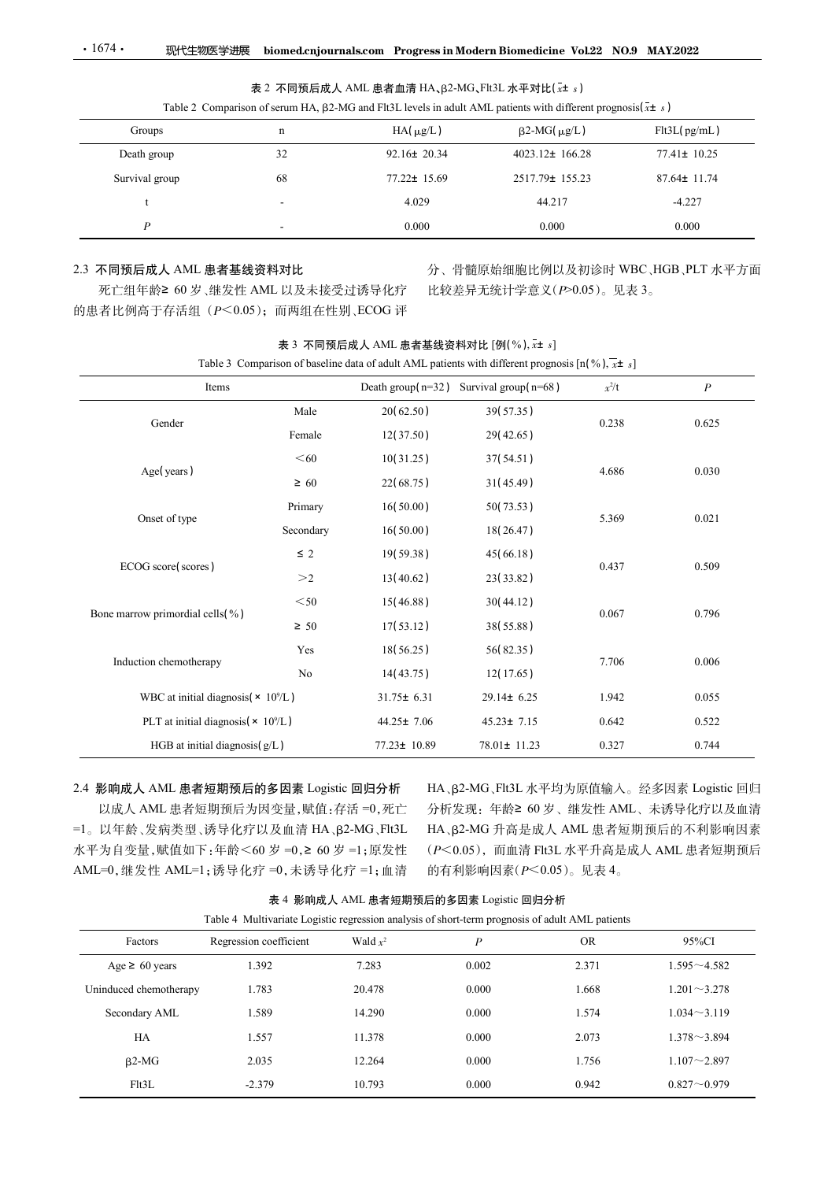| $\cdot 1674$ $\cdot$<br>现代生物医学进展                         |             |                                                | biomed.cnjournals.com Progress in Modern Biomedicine Vol.22 NO.9 MAY.2022                                                    |         |                   |
|----------------------------------------------------------|-------------|------------------------------------------------|------------------------------------------------------------------------------------------------------------------------------|---------|-------------------|
|                                                          |             |                                                | 表 2 不同预后成人 AML 患者血清 HA、β2-MG、Flt3L 水平对比( $x$ ± s)                                                                            |         |                   |
|                                                          |             |                                                | Table 2 Comparison of serum HA, $\beta$ 2-MG and Flt3L levels in adult AML patients with different prognosis( $\bar{x}$ ± s) |         |                   |
| Groups                                                   | $\mathbf n$ | $HA(\mu g/L)$                                  | $\beta$ 2-MG( $\mu$ g/L)                                                                                                     |         | Flt3L(pg/mL)      |
| Death group                                              | 32          | $92.16 \pm 20.34$                              | 4023.12± 166.28                                                                                                              |         | $77.41 \pm 10.25$ |
| Survival group                                           | 68          | 77.22± 15.69                                   | 2517.79± 155.23                                                                                                              |         | 87.64± 11.74      |
| $\ddot{\phantom{1}}$                                     |             | 4.029                                          | 44.217                                                                                                                       |         | $-4.227$          |
| $\boldsymbol{P}$                                         |             | 0.000                                          | 0.000                                                                                                                        |         | 0.000             |
|                                                          |             |                                                |                                                                                                                              |         |                   |
| 2.3 不同预后成人 AML 患者基线资料对比<br>死亡组年龄≥ 60岁、继发性 AML 以及未接受过诱导化疗 |             |                                                | 分、骨髓原始细胞比例以及初诊时 WBC、HGB、PLT 水平方面<br>比较差异无统计学意义(P>0.05)。见表 3。                                                                 |         |                   |
| 的患者比例高于存活组 (P<0.05); 而两组在性别、ECOG 评                       |             |                                                |                                                                                                                              |         |                   |
|                                                          |             |                                                |                                                                                                                              |         |                   |
|                                                          |             | 表 3 不同预后成人 AML 患者基线资料对比 [例(%), x+ s]           | Table 3 Comparison of baseline data of adult AML patients with different prognosis $[n(\%), \overline{x} \pm s]$             |         |                   |
| Items                                                    |             | Death group( $n=32$ ) Survival group( $n=68$ ) |                                                                                                                              | $x^2/t$ | $\boldsymbol{P}$  |
|                                                          |             |                                                |                                                                                                                              |         |                   |
|                                                          | Male        | 20(62.50)                                      | 39(57.35)                                                                                                                    |         |                   |
| Gender                                                   | Female      | 12(37.50)                                      | 29(42.65)                                                                                                                    | 0.238   | 0.625             |

# 2.3 不同预后成人 AML 患者基线资料对比

|                                                                                                                                                                                                    |                                                        |           |                  | 表 2 不同预后成人 AML 患者血清 HA、β2-MG、Flt3L 水平对比( $x$ ± s)                                                                                                        |           |                                                                                                                                                           |
|----------------------------------------------------------------------------------------------------------------------------------------------------------------------------------------------------|--------------------------------------------------------|-----------|------------------|----------------------------------------------------------------------------------------------------------------------------------------------------------|-----------|-----------------------------------------------------------------------------------------------------------------------------------------------------------|
|                                                                                                                                                                                                    |                                                        |           |                  | Table 2 Comparison of serum HA, $\beta$ 2-MG and Flt3L levels in adult AML patients with different prognosis( $\bar{x}$ ± s)                             |           |                                                                                                                                                           |
| Groups                                                                                                                                                                                             | $\mathbf n$                                            |           | $HA(\mu g/L)$    | $\beta$ 2-MG( $\mu$ g/L)                                                                                                                                 |           | Flt3L(pg/mL)                                                                                                                                              |
| Death group                                                                                                                                                                                        | 32                                                     |           | 92.16± 20.34     | 4023.12± 166.28                                                                                                                                          |           | 77.41± 10.25                                                                                                                                              |
| Survival group                                                                                                                                                                                     | 68                                                     |           | 77.22± 15.69     | 2517.79± 155.23                                                                                                                                          |           | 87.64± 11.74                                                                                                                                              |
| t                                                                                                                                                                                                  |                                                        |           | 4.029            | 44.217                                                                                                                                                   |           | $-4.227$                                                                                                                                                  |
| $\boldsymbol{P}$                                                                                                                                                                                   |                                                        |           | 0.000            | 0.000                                                                                                                                                    |           | 0.000                                                                                                                                                     |
| !.3 不同预后成人 AML 患者基线资料对比<br>死亡组年龄≥ 60岁、继发性 AML 以及未接受过诱导化疗<br>的患者比例高于存活组 (P<0.05); 而两组在性别、ECOG 评                                                                                                     |                                                        |           |                  | 比较差异无统计学意义(P>0.05)。见表 3。                                                                                                                                 |           | 分、骨髓原始细胞比例以及初诊时 WBC、HGB、PLT 水平方面                                                                                                                          |
|                                                                                                                                                                                                    |                                                        |           |                  | 表 3 不同预后成人 AML 患者基线资料对比 [例(%), x+ s]<br>Table 3 Comparison of baseline data of adult AML patients with different prognosis $[n(\%), \overline{x} \pm s]$ |           |                                                                                                                                                           |
|                                                                                                                                                                                                    | Items                                                  |           |                  | Death group( $n=32$ ) Survival group( $n=68$ )                                                                                                           | $x^2/t$   | $\boldsymbol{P}$                                                                                                                                          |
|                                                                                                                                                                                                    |                                                        | Male      | 20(62.50)        | 39(57.35)                                                                                                                                                |           |                                                                                                                                                           |
| Gender                                                                                                                                                                                             |                                                        | Female    | 12(37.50)        | 29(42.65)                                                                                                                                                | 0.238     | 0.625                                                                                                                                                     |
|                                                                                                                                                                                                    |                                                        | $60$      | 10(31.25)        | 37(54.51)                                                                                                                                                |           |                                                                                                                                                           |
| Age(years)                                                                                                                                                                                         |                                                        | $\geq 60$ | 22(68.75)        | 31(45.49)                                                                                                                                                | 4.686     | 0.030                                                                                                                                                     |
|                                                                                                                                                                                                    |                                                        | Primary   | 16(50.00)        | 50(73.53)                                                                                                                                                |           |                                                                                                                                                           |
| Onset of type                                                                                                                                                                                      |                                                        | Secondary | 16(50.00)        | 18(26.47)                                                                                                                                                | 5.369     | 0.021                                                                                                                                                     |
|                                                                                                                                                                                                    |                                                        | $\leq$ 2  | 19(59.38)        | 45(66.18)                                                                                                                                                |           |                                                                                                                                                           |
| ECOG score(scores)                                                                                                                                                                                 |                                                        | >2        | 13(40.62)        | 23(33.82)                                                                                                                                                | 0.437     | 0.509                                                                                                                                                     |
|                                                                                                                                                                                                    |                                                        | $<$ 50    | 15(46.88)        |                                                                                                                                                          |           |                                                                                                                                                           |
| Bone marrow primordial cells(%)                                                                                                                                                                    |                                                        |           |                  | 30(44.12)                                                                                                                                                | 0.067     | 0.796                                                                                                                                                     |
|                                                                                                                                                                                                    |                                                        | $\geq 50$ | 17(53.12)        | 38(55.88)                                                                                                                                                |           |                                                                                                                                                           |
| Induction chemotherapy                                                                                                                                                                             |                                                        | Yes       | 18(56.25)        | 56(82.35)                                                                                                                                                | 7.706     | 0.006                                                                                                                                                     |
|                                                                                                                                                                                                    |                                                        | No        | 14(43.75)        | 12(17.65)                                                                                                                                                |           |                                                                                                                                                           |
|                                                                                                                                                                                                    | WBC at initial diagnosis( $\times$ 10 <sup>9</sup> /L) |           | $31.75 \pm 6.31$ | $29.14 \pm 6.25$                                                                                                                                         | 1.942     | 0.055                                                                                                                                                     |
|                                                                                                                                                                                                    | PLT at initial diagnosis( × 10%L)                      |           | $44.25 \pm 7.06$ | $45.23 \pm 7.15$                                                                                                                                         | 0.642     | 0.522                                                                                                                                                     |
|                                                                                                                                                                                                    | HGB at initial diagnosis $(g/L)$                       |           | 77.23± 10.89     | 78.01± 11.23                                                                                                                                             | 0.327     | 0.744                                                                                                                                                     |
| 2.4 影响成人 AML 患者短期预后的多因素 Logistic 回归分析<br>以成人 AML 患者短期预后为因变量,赋值:存活 =0,死亡<br>=1。以年龄、发病类型、诱导化疗以及血清 HA、β2-MG、Flt3L<br>水平为自变量,赋值如下:年龄 < 60 岁 = 0, ≥ 60 岁 = 1;原发性<br>AML=0,继发性 AML=1;诱导化疗 =0,未诱导化疗 =1;血清 |                                                        |           |                  | 的有利影响因素 $(P<0.05)$ 。见表 4。                                                                                                                                |           | HA、β2-MG、Flt3L 水平均为原值输入。经多因素 Logistic 回归<br>分析发现: 年龄≥ 60岁、继发性 AML、未诱导化疗以及血清<br>HA、β2-MG 升高是成人 AML 患者短期预后的不利影响因素<br>(P<0.05), 而血清 Flt3L 水平升高是成人 AML 患者短期预后 |
|                                                                                                                                                                                                    |                                                        |           |                  | 表 4 影响成人 AML 患者短期预后的多因素 Logistic 回归分析                                                                                                                    |           |                                                                                                                                                           |
|                                                                                                                                                                                                    |                                                        |           |                  | Table 4 Multivariate Logistic regression analysis of short-term prognosis of adult AML patients                                                          |           |                                                                                                                                                           |
| Factors                                                                                                                                                                                            | Regression coefficient                                 |           | Wald $x^2$       | $\boldsymbol{P}$                                                                                                                                         | <b>OR</b> | 95%CI                                                                                                                                                     |
| Age $\geq 60$ years                                                                                                                                                                                | 1.392                                                  |           | 7.283            | 0.002                                                                                                                                                    | 2.371     | $1.595 - 4.582$                                                                                                                                           |
| Uninduced chemotherapy                                                                                                                                                                             | 1.783                                                  |           | 20.478           | 0.000                                                                                                                                                    | 1.668     | $1.201 - 3.278$                                                                                                                                           |
| Secondary AML                                                                                                                                                                                      | 1.589                                                  |           | 14.290           | 0.000                                                                                                                                                    | 1.574     | $1.034 - 3.119$                                                                                                                                           |
| HA                                                                                                                                                                                                 | 1.557                                                  |           | 11.378           | 0.000                                                                                                                                                    | 2.073     | $1.378 - 3.894$                                                                                                                                           |
|                                                                                                                                                                                                    |                                                        |           |                  |                                                                                                                                                          |           |                                                                                                                                                           |

表 4 影响成人 AML 患者短期预后的多因素 Logistic 回归分析

|  |  |  |  |  | able 4 Multivariate Logistic regression analysis of short-term prognosis of adult AML patients |  |  |  |  |  |  |  |  |  |
|--|--|--|--|--|------------------------------------------------------------------------------------------------|--|--|--|--|--|--|--|--|--|
|--|--|--|--|--|------------------------------------------------------------------------------------------------|--|--|--|--|--|--|--|--|--|

|                                           | $\geq 50$                                                                                       | 17(53.12)                             | 38(55.88)                                |           |                 |
|-------------------------------------------|-------------------------------------------------------------------------------------------------|---------------------------------------|------------------------------------------|-----------|-----------------|
|                                           | Yes                                                                                             | 18(56.25)                             | 56(82.35)                                |           |                 |
| Induction chemotherapy                    | No                                                                                              | 14(43.75)                             | 12(17.65)                                | 7.706     | 0.006           |
|                                           | WBC at initial diagnosis( $\times$ 10 <sup>9</sup> /L)                                          | $31.75 \pm 6.31$                      | $29.14 \pm 6.25$                         | 1.942     | 0.055           |
|                                           | PLT at initial diagnosis( $\times$ 10%)                                                         | $44.25 \pm 7.06$                      | $45.23 \pm 7.15$                         | 0.642     | 0.522           |
|                                           | HGB at initial diagnosis(g/L)                                                                   | 77.23± 10.89                          | 78.01± 11.23                             | 0.327     | 0.744           |
|                                           |                                                                                                 |                                       |                                          |           |                 |
| 2.4 影响成人 AML 患者短期预后的多因素 Logistic 回归分析     |                                                                                                 |                                       | HA、β2-MG、Flt3L 水平均为原值输入。经多因素 Logistic 回归 |           |                 |
|                                           | 以成人 AML 患者短期预后为因变量,赋值:存活=0,死亡                                                                   |                                       | 分析发现: 年龄≥ 60岁、继发性 AML、未诱导化疗以及血清          |           |                 |
|                                           | =1。以年龄、发病类型、诱导化疗以及血清 HA、β2-MG、Flt3L                                                             |                                       | HA、β2-MG 升高是成人 AML 患者短期预后的不利影响因素         |           |                 |
| 水平为自变量,赋值如下:年龄 < 60 岁 = 0, ≥ 60 岁 = 1;原发性 |                                                                                                 |                                       | (P<0.05), 而血清 Flt3L 水平升高是成人 AML 患者短期预后   |           |                 |
| AML=0,继发性 AML=1;诱导化疗 =0,未诱导化疗 =1;血清       |                                                                                                 |                                       | 的有利影响因素(P<0.05)。见表 4。                    |           |                 |
|                                           |                                                                                                 | 表 4 影响成人 AML 患者短期预后的多因素 Logistic 回归分析 |                                          |           |                 |
|                                           | Table 4 Multivariate Logistic regression analysis of short-term prognosis of adult AML patients |                                       |                                          |           |                 |
| Factors                                   | Regression coefficient                                                                          | Wald $x^2$                            | $\boldsymbol{P}$                         | <b>OR</b> | 95%CI           |
| Age $\geq 60$ years                       | 1.392                                                                                           | 7.283                                 | 0.002                                    | 2.371     | $1.595 - 4.582$ |
| Uninduced chemotherapy                    | 1.783                                                                                           | 20.478                                | 0.000                                    | 1.668     | $1.201 - 3.278$ |
| Secondary AML                             | 1.589                                                                                           | 14.290                                | 0.000                                    | 1.574     | $1.034 - 3.119$ |
|                                           | 1.557                                                                                           | 11.378                                | 0.000                                    | 2.073     | $1.378 - 3.894$ |
| HA                                        |                                                                                                 |                                       |                                          |           |                 |
| $\beta$ 2-MG                              | 2.035                                                                                           | 12.264                                | 0.000                                    | 1.756     | $1.107 - 2.897$ |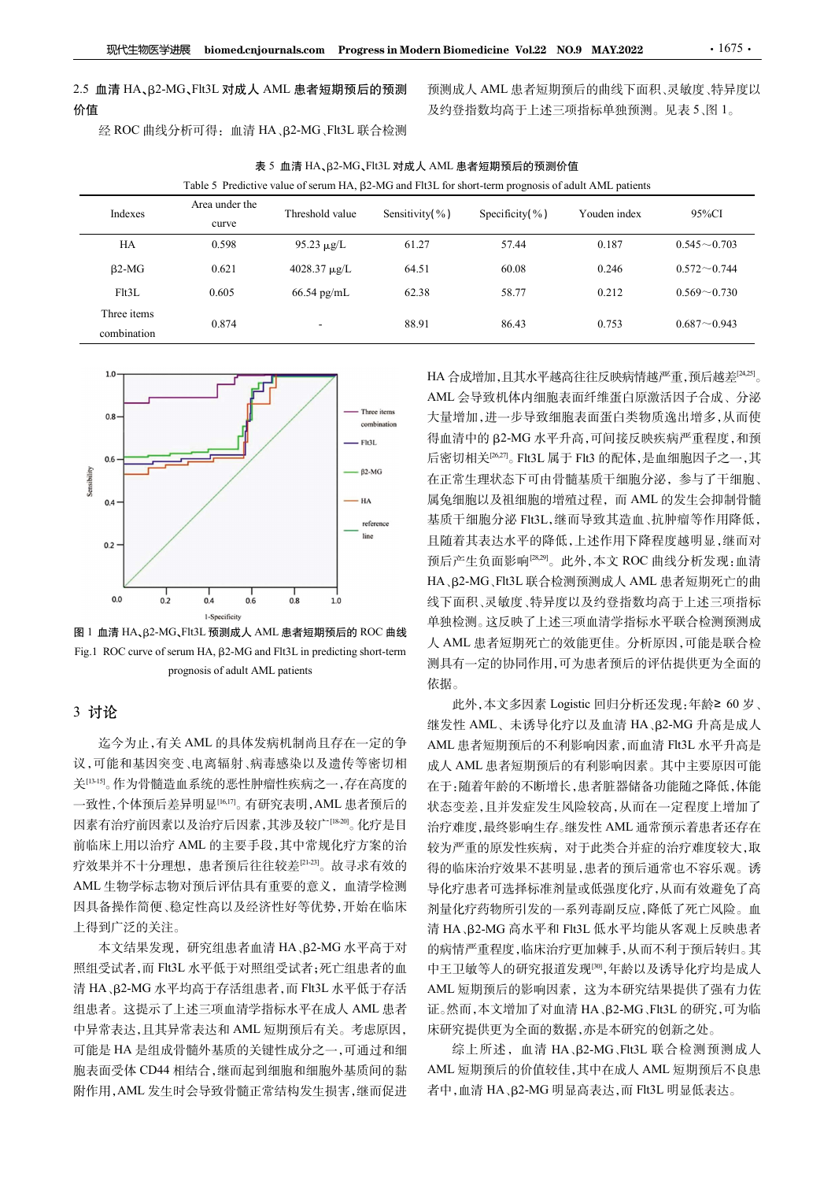| 现代生物医学进展                   |                                         | biomed.cnjournals.com Progress in Modern Biomedicine Vol.22 NO.9 MAY.2022                                   |                |                                                   |              | $\cdot$ 1675 $\cdot$ |
|----------------------------|-----------------------------------------|-------------------------------------------------------------------------------------------------------------|----------------|---------------------------------------------------|--------------|----------------------|
|                            |                                         |                                                                                                             |                |                                                   |              |                      |
|                            | 2.5 血清 HA、β2-MG、Flt3L 对成人 AML 患者短期预后的预测 |                                                                                                             |                | 预测成人 AML 患者短期预后的曲线下面积、灵敏度、特异度以                    |              |                      |
| 价值                         |                                         |                                                                                                             |                | 及约登指数均高于上述三项指标单独预测。见表5、图1。                        |              |                      |
|                            | 经 ROC 曲线分析可得: 血清 HA、β2-MG、Flt3L 联合检测    |                                                                                                             |                |                                                   |              |                      |
|                            |                                         | 表 5 血清 HA、β2-MG、Flt3L 对成人 AML 患者短期预后的预测价值                                                                   |                |                                                   |              |                      |
|                            |                                         | Table 5 Predictive value of serum HA, $\beta$ 2-MG and Flt3L for short-term prognosis of adult AML patients |                |                                                   |              |                      |
|                            | Area under the                          |                                                                                                             | Sensitivity(%) | Specificity(%)                                    | Youden index | 95%CI                |
| Indexes                    | curve                                   | Threshold value                                                                                             |                |                                                   |              |                      |
| HA                         | 0.598                                   | $95.23 \mu g/L$                                                                                             | 61.27          | 57.44                                             | 0.187        | $0.545 \sim 0.703$   |
| $\beta$ 2-MG               | 0.621                                   | 4028.37 μg/L                                                                                                | 64.51          | 60.08                                             | 0.246        | $0.572 \sim 0.744$   |
| Flt3L                      | 0.605                                   | 66.54 pg/mL                                                                                                 | 62.38          | 58.77                                             | 0.212        | $0.569 - 0.730$      |
| Three items<br>combination | 0.874                                   |                                                                                                             | 88.91          | 86.43                                             | 0.753        | $0.687 - 0.943$      |
|                            |                                         |                                                                                                             |                |                                                   |              |                      |
| $1.0 -$                    |                                         |                                                                                                             |                | HA 合成增加,且其水平越高往往反映病情越严重,预后越差 <sup>[24,25]</sup> 。 |              |                      |







# 3 讨论

迄今为止,有关 AML 的具体发病机制尚且存在一定的争 议,可能和基因突变、电离辐射、病毒感染以及遗传等密切相 关[13-15]。作为骨髓造血系统的恶性肿瘤性疾病之一,存在高度的 一致性,个体预后差异明显[16,17]。有研究表明,AML 患者预后的 因素有治疗前因素以及治疗后因素,其涉及较广[18-20]。化疗是目 前临床上用以治疗 AML 的主要手段,其中常规化疗方案的治 疗效果并不十分理想,患者预后往往较差[21-23]。故寻求有效的 AML 生物学标志物对预后评估具有重要的意义,血清学检测 因具备操作简便、稳定性高以及经济性好等优势,开始在临床 上得到广泛的关注。

本文结果发现, 研究组患者血清 HA、B2-MG 水平高于对 照组受试者,而 Flt3L 水平低于对照组受试者;死亡组患者的血 清 HA、β2-MG 水平均高于存活组患者, 而 Flt3L 水平低于存活 组患者。这提示了上述三项血清学指标水平在成人 AML 患者 中异常表达,且其异常表达和 AML 短期预后有关。考虑原因, 可能是 HA 是组成骨髓外基质的关键性成分之一,可通过和细 胞表面受体 CD44 相结合,继而起到细胞和细胞外基质间的黏 附作用,AML 发生时会导致骨髓正常结构发生损害,继而促进

Fig.1 ROC curve of serum HA, <sup>茁</sup>2-MG and Flt3L in predicting short-term 0.874 . 88.91 . 8643 . 0.753 . 0.687~0.943 . 467<br>
<br>
HA 合成增加,且水平越高往往反映病情趨严重,预后<br>
— The hand AML 分导致机体内细胞表面蛋白类物质逸出增多,从<br>
— The hand Spreading AML patients<br>
— The hand Spreading AMC . The information of the second interval in HA 合成增加,且其水平越高往往反映病情越严重,预后越差[24,25]。 。<br>。 AML 会导致机体内细胞表面纤维蛋白原激活因子合成、分泌 大量增加,进一步导致细胞表面蛋白类物质逸出增多,从而使 得血清中的 B2-MG 水平升高,可间接反映疾病严重程度,和预 后密切相关[26,27] 。Flt3L 属于 Flt3 的配体,是血细胞因子之一,其 在正常生理状态下可由骨髓基质干细胞分泌,参与了干细胞、 属兔细胞以及祖细胞的增殖过程,而 AML 的发生会抑制骨髓 基质干细胞分泌 Flt3L,继而导致其造血、抗肿瘤等作用降低, 且随着其表达水平的降低,上述作用下降程度越明显,继而对 预后产生负面影响[28,29]。此外,本文 ROC 曲线分析发现:血清 HA、B2-MG、Flt3L 联合检测预测成人 AML 患者短期死亡的曲 线下面积、灵敏度、特异度以及约登指数均高于上述三项指标 单独检测。这反映了上述三项血清学指标水平联合检测预测成 人 AML 患者短期死亡的效能更佳。分析原因,可能是联合检 测具有一定的协同作用,可为患者预后的评估提供更为全面的 依据。

此外,本文多因素 Logistic 回归分析还发现:年龄≥ 60 岁、 继发性 AML、未诱导化疗以及血清 HA、β2-MG 升高是成人 AML 患者短期预后的不利影响因素,而血清 Flt3L 水平升高是 成人 AML 患者短期预后的有利影响因素。其中主要原因可能 在于:随着年龄的不断增长,患者脏器储备功能随之降低,体能 状态变差,且并发症发生风险较高,从而在一定程度上增加了 治疗难度,最终影响生存。继发性 AML 通常预示着患者还存在 较为严重的原发性疾病,对于此类合并症的治疗难度较大,取 得的临床治疗效果不甚明显,患者的预后通常也不容乐观。诱 导化疗患者可选择标准剂量或低强度化疗,从而有效避免了高 剂量化疗药物所引发的一系列毒副反应,降低了死亡风险。血 清 HA、β2-MG 高水平和 Flt3L 低水平均能从客观上反映患者 的病情严重程度,临床治疗更加棘手,从而不利于预后转归。其 中王卫敏等人的研究报道发现[30],年龄以及诱导化疗均是成人 AML 短期预后的影响因素,这为本研究结果提供了强有力佐 证。然而,本文增加了对血清 HA、β2-MG、Flt3L 的研究,可为临 床研究提供更为全面的数据,亦是本研究的创新之处。

综上所述, 血清 HA、β2-MG、Flt3L 联合检测预测成人 AML 短期预后的价值较佳,其中在成人 AML 短期预后不良患 者中,血清 HA、β2-MG 明显高表达,而 Flt3L 明显低表达。